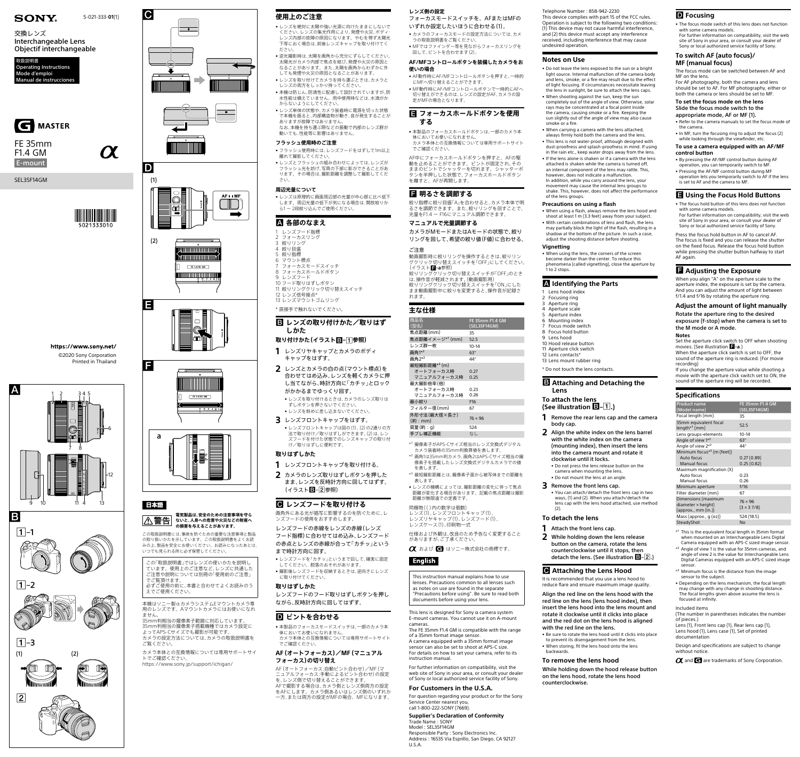



# 日本語



https://www.sony.net/ ©2020 Sony Corporation Printed in Thailand





 $\boxed{2}$ 







5-021-333-**01**(1)

SEL35F14GM



 $\boldsymbol{\alpha}$ 

# **SONY**

交換レンズ Interchangeable Lens Objectif interchangeable

E-mount FE 35mm F1.4 GM





#### **電気製品は、安全のための注意事項を守ら** │<u>八</u> 警告 | ないと、人身への危害や火災などの財産へ **の損害を与えることがあります。**

この取扱説明書には、事故を防ぐための重要な注意事項と製品 の取り扱いかたを示しています。この取扱説明書をよくお読 みの上、製品を安全にお使いください。お読みになったあとは、 いつでも見られる所に必ず保管してください。

この「取扱説明書」ではレンズの使いかたを説明し ています。使用上のご注意など、レンズに共通した ご注意や説明については別冊の「使用前のご注意」 でご覧頂けます。 必ずご使用の前に、本書と合わせてよくお読みのう

えでご使用ください。

本機はソニー製αカメラシステムEマウントカメラ専 用のレンズです。Aマウントカメラにはお使いになれ ません。

35mm判相当の撮像素子範囲に対応しています。 35mm判相当の撮像素子搭載機種ではカメラ設定に よってAPS-Cサイズでも撮影が可能です。 カメラの設定方法については、カメラの取扱説明書を ご覧ください。

カメラ本体との互換情報については専用サポートサイ トでご確認ください。

<https://www.sony.jp/support/ichigan/>

### **E** レンズの取り付けかた/取りはず **しかた**

### **使用上のご注意**

**1** レンズフロントキャップを取り付ける。 **2** カメラのレンズ取りはずしボタンを押した まま、レンズを反時計方向に回してはずす。 (イラストB-2参照)

## **<del>■</del> レンズフードを取り付ける**

- • レンズを絶対に太陽や強い光源に向けたままにしないで ください。レンズの集光作用により、発煙や火災、ボディ・ レンズ内部の故障の原因になります。やむを得ず太陽光 下等におく場合は、前後レンズキャップを取り付けてく ださい。
- • 逆光撮影時は、太陽を画角から充分にずらしてください。 太陽光がカメラ内部で焦点を結び、発煙や火災の原因と なることがあります。また、太陽を画角からわずかに外 しても発煙や火災の原因となることがあります。
- • レンズを取り付けてカメラを持ち運ぶときは、カメラと レンズの両方をしっかり持ってください。 ●本機は防じん、防滴性に配慮して設計されていますが、防
- 水性能は備えていません。雨中使用時などは、水滴がか からないようにしてください。 • レンズ単体の状態や、カメラ装着時に電源を切った状態
- で本機を振ると、内部構造物が動き、音が発生することが ありますが故障ではありません。 なお、本機を持ち運ぶ際などの振動で内部のレンズ群が
- 動いても、性能等に影響はありません。 **フラッシュ使用時のご注意**

# • フラッシュ使用時には、レンズフードをはずして1m以上

離れて撮影してください。 • レンズとフラッシュの組み合わせによっては、レンズが フラッシュ光を妨げ、写真の下部に影ができることがあ ります。その場合は、撮影距離を調整して撮影してくだ

さい。

### **周辺光量について**

- カメラのフォーカスモードの設定方法については、カメ ラの取扱説明書をご覧ください。 • MFではファインダー等を見ながらフォーカスリングを
- 回して、ピントを合わせます(2)。 **AF/MFコントロールボタンを装備したカメラをお 使いの場合**
- • AF動作時にAF/MFコントロールボタンを押すと、一時的 にMFへ切り替えることができます。
- • MF動作時にAF/MFコントロールボタンで一時的にAFへ 切り替えができるのは、レンズの設定がAF、カメラの設 定がMFの場合となります。

• レンズは原理的に画面周辺部の光量が中心部に比べ低下 します。周辺光量の低下が気になる場合は、開放絞りか ら1 ~ 2段絞り込んでご使用ください。

### **各部のなまえ**

- 1 レンズフード指標
- 2 フォーカスリング 3 絞りリング
- 4 絞り目盛
- 5 絞り指標 6 マウント標点
- フォーカスモードスイッチ
- 8 フォーカスホールドボタン 9 レンズフード
- 10 フード取りはずしボタン
- 11 絞りリングクリック切り替えスイッチ 12 レンズ信号接点\*
- 13 レンズマウントゴムリング
- \* 直接手で触れないでください。

### **取り付けかた(イラスト–参照)**

\*1 撮像素子がAPS-Cサイズ相当のレンズ交換式デジタル カメラ装着時の35mm判換算値を表します。

- **1** レンズリヤキャップとカメラのボディ キャップをはずす。
- **2** レンズとカメラの白の点(マウント標点)を 合わせてはめ込み、レンズを軽くカメラに押 し当てながら、時計方向に「カチッ」とロック がかかるまでゆっくり回す。
	- • レンズを取り付けるときは、カメラのレンズ取りは ずしボタンを押さないでください。 • レンズを斜めに差し込まないでください。
- **3** レンズフロントキャップをはずす。 • レンズフロントキャップは図の(1)、(2)の2通りの方
- 法で取り付け/取りはずしができます。(2)は、レン ズフードを付けた状態でのレンズキャップの取り付 け/取りはずしに便利です。

- \*<sup>2</sup> 画角1は35mm判カメラ、画角2はAPS-Cサイズ相当の撮 像素子を搭載したレンズ交換式デジタルカメラでの値 を表します。
- \*3 最短撮影距離とは、撮像素子面から被写体までの距離を 表します。

### **取りはずしかた**

画角外にある光が描写に影響するのを防ぐために、レ ンズフードの使用をおすすめします。

> This lens is designed for Sony  $\alpha$  camera system E-mount cameras. You cannot use it on A-mount cameras.

レンズフードの赤線をレンズの赤線(レンズ フード指標)に合わせてはめ込み、レンズフード の赤点とレンズの赤線が合って「カチッ」という

- まで時計方向に回す。 • レンズフードを「カチッ」というまで回して、確実に固定 してください。脱落のおそれがあります。
- • 撮影後レンズフードを収納するときは、逆向きにレンズ に取り付けてください。

### **取りはずしかた**

レンズフードのフード取りはずしボタンを押し ながら、反時計方向に回してはずす。

### **■** ピントを合わせる

- • 本製品のフォーカスモードスイッチは、一部のカメラ本 体においてお使いになれません。 カメラ本体との互換情報については専用サポートサイト
- でご確認ください。

#### **AF(オートフォーカス)/MF(マニュアル フォーカス)の切り替え**

AF(オートフォーカス:自動ピント合わせ)/MF(マ ニュアルフォーカス:手動によるピント合わせ)の設定 を、レンズ側で切り替えることができます。 AFで撮影する場合は、カメラ側とレンズ側両方の設定 をAFにします。カメラ側あるいはレンズ側のいずれか 一方、または両方の設定がMFの場合、MFになります。

### **レンズ側の設定**

フォーカスモードスイッチを、AFまたはMFの いずれか設定したいほうに合わせる(1)。

### **フォーカスホールドボタンを使用 する**

• 本製品のフォーカスホールドボタンは、一部のカメラ本 - ・・・・・・・・・・・・・・・・・・・・・・・・・・・・。<br>体においてお使いになれません。 カメラ本体との互換情報については専用サポートサイト でご確認ください。

AF中にフォーカスホールドボタンを押すと、AFの駆 動を止めることができます。ピントが固定され、その ままのピントでシャッターを切れます。シャッターボ タンを半押しした状態で、フォーカスホールドボタン を離すと、AFが再開します。

### **明るさを調節する**

絞り指標に絞り目盛「A」を合わせると、カメラ本体で明 るさを調節できます。また、絞りリングを回すことで、 光量をF1.4 ~ F16にマニュアル調節できます。

### **マニュアルで光量調節する**

カメラがMモードまたはAモードの状態で、絞り リングを回して、希望の絞り値(F値)に合わせる。

### ご注意

動画撮影時に絞りリングを操作するときは、絞りリン グクリック切り替えスイッチを「OFF」にしてください。 -<br>(イラスト**日-a**参照) 絞りリングクリック切り替えスイッチが「OFF」のとき

は、操作音が軽減されます。(動画撮影用) 絞りリングクリック切り替えスイッチを「ON」にした まま動画撮影中に絞りを変更すると、操作音が記録さ れます。

| 主な仕様                        |                                 |
|-----------------------------|---------------------------------|
| 商品名<br>(型名)                 | FE 35mm F1.4 GM<br>(SEL35F14GM) |
| 焦点距離(mm)                    | 35                              |
| 焦点距離イメージ* <sup>1</sup> (mm) | 525                             |
| レンズ群一枚                      | 10-14                           |

| 画角1*2                    | 63°             |
|--------------------------|-----------------|
| 画角2*2                    | 44°             |
| 最短撮影距離* <sup>3</sup> (m) |                 |
| オートフォーカス時                | 0.27            |
| マニュアルフォーカス時              | 0.25            |
| 最大撮影倍率(倍)                |                 |
| オートフォーカス時                | 0.23            |
| マニュアルフォーカス時              | 0.26            |
| 最小絞り                     | F <sub>16</sub> |
| フィルター径(mm)               | 67              |
| 外形寸法(最大径×長さ)<br>(約 : mm) | $76 \times 96$  |
| 質量(約:g)                  | 524             |
| 手ブレ補正機能                  | なし              |
|                          |                 |

**1** Remove the rear lens cap and the camera body cap.

• レンズの機構によっては、撮影距離の変化に伴って焦点 距離が変化する場合があります。記載の焦点距離は撮影 距離が無限遠での定義です。

> **2** While holding down the lens release button on the camera, rotate the lens counterclockwise until it stops, then detach the lens. (See illustration  $\mathbf{B}$ - $\mathbf{2}$ .)

#### 同梱物(( )内の数字は個数) レンズ(1)、レンズフロントキャップ(1)、

レンズリヤキャップ(1)、レンズフード(1)、 レンズケース(1)、印刷物一式

仕様および外観は、改良のため予告なく変更すること がありますが、ご了承ください。

■ および ■ はソニー株式会社の商標です。

# **English**

This instruction manual explains how to use lenses. Precautions common to all lenses such as notes on use are found in the separate "Precautions before using". Be sure to read both documents before using your lens.

The FE 35mm F1.4 GM is compatible with the range of a 35mm format image sensor. A camera equipped with a 35mm format image sensor can also be set to shoot at APS-C size. For details on how to set your camera, refer to its instruction manual.

- Refer to the camera manuals to set the focus mode of the camera.
- In MF, turn the focusing ring to adjust the focus (2) while looking through the viewfinder, etc.

For further information on compatibility, visit the web site of Sony in your area, or consult your dealer of Sony or local authorized service facility of Sony. **For Customers in the U.S.A.**

For question regarding your product or for the Sony

Service Center nearest you, call 1-800-222-SONY (7669).

**Supplier's Declaration of Conformity**

Trade Name : SONY Model : SEL35F14GM

Responsible Party : Sony Electronics Inc. Address : 16535 Via Esprillo, San Diego, CA 92127

U.S.A.

Telephone Number : 858-942-2230 This device complies with part 15 of the FCC rules. Operation is subject to the following two conditions: (1) This device may not cause harmful interference, and (2) this device must accept any interference received, including interference that may cause undesired operation.

#### **Notes on Use**

• Do not leave the lens exposed to the sun or a bright light source. Internal malfunction of the camera body and lens, smoke, or a fire may result due to the effect of light focusing. If circumstances necessitate leaving

the lens in sunlight, be sure to attach the lens caps. • When shooting against the sun, keep the sun completely out of the angle of view. Otherwise, solar rays may be concentrated at a focal point inside the camera, causing smoke or a fire. Keeping the sun slightly out of the angle of view may also cause smoke or a fire.

> \*<sup>1</sup> This is the equivalent focal length in 35mm format when mounted on an Interchangeable Lens Digital Camera equipped with an APS-C sized image sensor.

• When carrying a camera with the lens attached, always firmly hold both the camera and the lens. • This lens is not water-proof, although designed with dust-proofness and splash-proofness in mind. If using in the rain etc., keep water drops away from the lens. • If the lens alone is shaken or if a camera with the lens

attached is shaken while the camera is turned off, an internal component of the lens may rattle. This, however, does not indicate a malfunction. In addition, while you carry around the lens, your movement may cause the internal lens groups to shake. This, however, does not affect the performance of the lens groups.

#### **Precautions on using a flash**

• When using a flash, always remove the lens hood and shoot at least 1 m (3.3 feet) away from your subject. • With certain combinations of lens and flash, the lens may partially block the light of the flash, resulting in a shadow at the bottom of the picture. In such a case, adjust the shooting distance before shooting.

**Vignetting**

• When using the lens, the corners of the screen become darker than the center. To reduce this phenomena (called vignetting), close the aperture by

1 to 2 stops.

#### **Identifying the Parts**

 Lens hood index Focusing ring Aperture ring Aperture scale Aperture index Mounting index Focus mode switch Focus hold button

 Lens hood Hood release button Aperture click switch Lens contacts\* Lens mount rubber ring

\* Do not touch the lens contacts.

#### **Attaching and Detaching the**

**Lens**

### **To attach the lens (See illustration –.)**

**2** Align the white index on the lens barrel with the white index on the camera (mounting index), then insert the lens into the camera mount and rotate it clockwise until it locks.

• Do not press the lens release button on the camera when mounting the lens.

• Do not mount the lens at an angle.

**3** Remove the front lens cap. • You can attach/detach the front lens cap in two ways, (1) and (2). When you attach/detach the lens cap with the lens hood attached, use method

(2).

#### **To detach the lens**

**1** Attach the front lens cap.

#### **Attaching the Lens Hood**

It is recommended that you use a lens hood to reduce flare and ensure maximum image quality.

Align the red line on the lens hood with the red line on the lens (lens hood index), then insert the lens hood into the lens mount and rotate it clockwise until it clicks into place and the red dot on the lens hood is aligned with the red line on the lens.

• Be sure to rotate the lens hood until it clicks into place to prevent its disengagement from the lens. • When storing, fit the lens hood onto the lens

backwards.

#### **To remove the lens hood**

While holding down the hood release button on the lens hood, rotate the lens hood counterclockwise.

### **D** Focusing

• The focus mode switch of this lens does not function

with some camera models. For further information on compatibility, visit the web site of Sony in your area, or consult your dealer of Sony or local authorized service facility of Sony.

#### **To switch AF (auto focus)/ MF (manual focus)**

The focus mode can be switched between AF and MF on the lens. For AF photography, both the camera and lens

should be set to AF. For MF photography, either or both the camera or lens should be set to MF.

**To set the focus mode on the lens** Slide the focus mode switch to the

appropriate mode, AF or MF (1).

#### **To use a camera equipped with an AF/MF control button**

- By pressing the AF/MF control button during AF
- operation, you can temporarily switch to MF. • Pressing the AF/MF control button during MF
- operation lets you temporarily switch to AF if the lens is set to AF and the camera to MF.

#### **Using the Focus Hold Buttons**

- The focus hold button of this lens does not function with some camera models. For further information on compatibility, visit the web
- site of Sony in your area, or consult your dealer of Sony or local authorized service facility of Sony.

Press the focus hold button in AF to cancel AF. The focus is fixed and you can release the shutter on the fixed focus. Release the focus hold button while pressing the shutter button halfway to start AF again.

### **Adjusting the Exposure**

When you align "A" on the aperture scale to the aperture index, the exposure is set by the camera. And you can adjust the amount of light between f/1.4 and f/16 by rotating the aperture ring.

#### **Adjust the amount of light manually** Rotate the aperture ring to the desired

exposure (f-stop) when the camera is set to the M mode or A mode.

**Notes** Set the aperture click switch to OFF when shooting movies. (See illustration **-a**.) When the aperture click switch is set to OFF, the

sound of the aperture ring is reduced. (For movie recording)

If you change the aperture value while shooting a movie with the aperture click switch set to ON, the sound of the aperture ring will be recorded.

#### **Specifications**

| <b>Product name</b><br>(Model name)                                                      | FE 35mm F1.4 GM<br>(SEL35F14GM)     |
|------------------------------------------------------------------------------------------|-------------------------------------|
| Focal length (mm)                                                                        | 35                                  |
| 35mm equivalent focal<br>$length*1$ (mm)                                                 | 52.5                                |
| Lens groups-elements                                                                     | $10 - 14$                           |
| Angle of view 1 <sup>*2</sup>                                                            | $63^\circ$                          |
| Angle of view 2 <sup>*2</sup>                                                            | 44°                                 |
| Minimum focus <sup><math>*</math>3</sup> (m (feet))<br>Auto focus<br><b>Manual focus</b> | 0.27(0.89)<br>0.25(0.82)            |
| Maximum magnification (X)<br>Auto focus<br>Manual focus                                  | 0.23<br>0.26                        |
| Minimum aperture                                                                         | f/16                                |
| Filter diameter (mm)                                                                     | 67                                  |
| Dimensions (maximum<br>$diameter \times height)$<br>(approx., mm (in.))                  | $76 \times 96$<br>$(3 \times 37/8)$ |
| Mass (approx., g (oz))                                                                   | 524 (18.5)                          |
| SteadyShot                                                                               | No                                  |

- \*² Angle of view 1 is the value for 35mm cameras, and angle of view 2 is the value for Interchangeable Lens Digital Cameras equipped with an APS-C sized image sensor.
- $3$  Minimum focus is the distance from the  $\frac{1}{3}$ sensor to the subject.
- Depending on the lens mechanism, the focal length may change with any change in shooting distance. The focal lengths given above assume the lens is focused at infinity.

Included items

(The number in parentheses indicates the number of pieces.)

Lens (1), Front lens cap (1), Rear lens cap (1), Lens hood (1), Lens case (1), Set of printed

documentation

Design and specifications are subject to change without notice.

 $\alpha$  and  $\epsilon$  are trademarks of Sony Corporation.